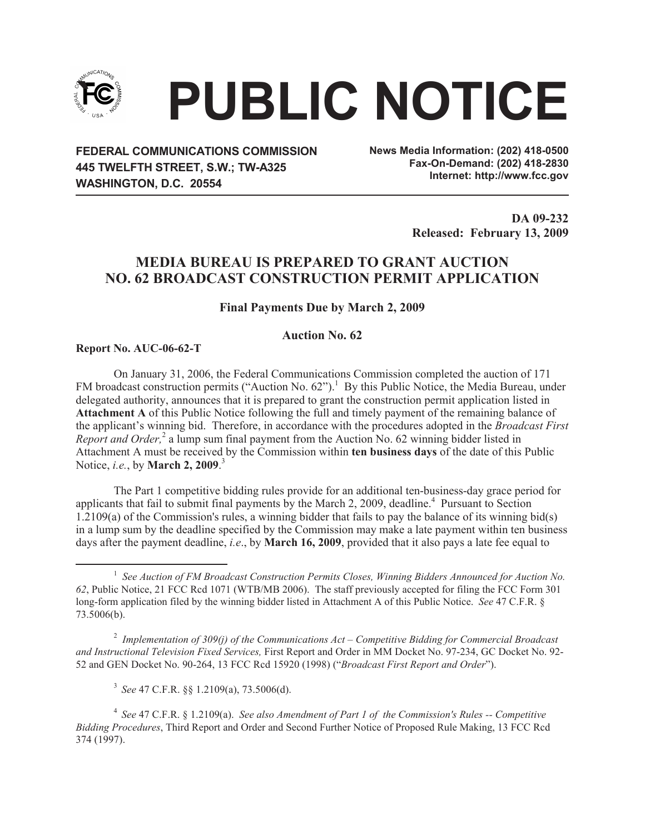

# **` PUBLIC NOTICE**

**FEDERAL COMMUNICATIONS COMMISSION 445 TWELFTH STREET, S.W.; TW-A325 WASHINGTON, D.C. 20554**

**News Media Information: (202) 418-0500 Fax-On-Demand: (202) 418-2830 Internet: http://www.fcc.gov**

> **DA 09-232 Released: February 13, 2009**

# **MEDIA BUREAU IS PREPARED TO GRANT AUCTION NO. 62 BROADCAST CONSTRUCTION PERMIT APPLICATION**

## **Final Payments Due by March 2, 2009**

### **Auction No. 62**

**Report No. AUC-06-62-T**

On January 31, 2006, the Federal Communications Commission completed the auction of 171 FM broadcast construction permits ("Auction No. 62").<sup>1</sup> By this Public Notice, the Media Bureau, under delegated authority, announces that it is prepared to grant the construction permit application listed in **Attachment A** of this Public Notice following the full and timely payment of the remaining balance of the applicant's winning bid. Therefore, in accordance with the procedures adopted in the *Broadcast First Report and Order*,<sup>2</sup> a lump sum final payment from the Auction No. 62 winning bidder listed in Attachment A must be received by the Commission within **ten business days** of the date of this Public Notice, *i.e.*, by **March 2, 2009**. 3

The Part 1 competitive bidding rules provide for an additional ten-business-day grace period for applicants that fail to submit final payments by the March 2, 2009, deadline.<sup>4</sup> Pursuant to Section  $1.2109(a)$  of the Commission's rules, a winning bidder that fails to pay the balance of its winning bid(s) in a lump sum by the deadline specified by the Commission may make a late payment within ten business days after the payment deadline, *i.e*., by **March 16, 2009**, provided that it also pays a late fee equal to

2 *Implementation of 309(j) of the Communications Act – Competitive Bidding for Commercial Broadcast and Instructional Television Fixed Services,* First Report and Order in MM Docket No. 97-234, GC Docket No. 92- 52 and GEN Docket No. 90-264, 13 FCC Rcd 15920 (1998) ("*Broadcast First Report and Order*").

3 *See* 47 C.F.R. §§ 1.2109(a), 73.5006(d).

4 *See* 47 C.F.R. § 1.2109(a). *See also Amendment of Part 1 of the Commission's Rules -- Competitive Bidding Procedures*, Third Report and Order and Second Further Notice of Proposed Rule Making, 13 FCC Rcd 374 (1997).

<sup>&</sup>lt;sup>1</sup> See Auction of FM Broadcast Construction Permits Closes, Winning Bidders Announced for Auction No. *62*, Public Notice, 21 FCC Rcd 1071 (WTB/MB 2006). The staff previously accepted for filing the FCC Form 301 long-form application filed by the winning bidder listed in Attachment A of this Public Notice. *See* 47 C.F.R. § 73.5006(b).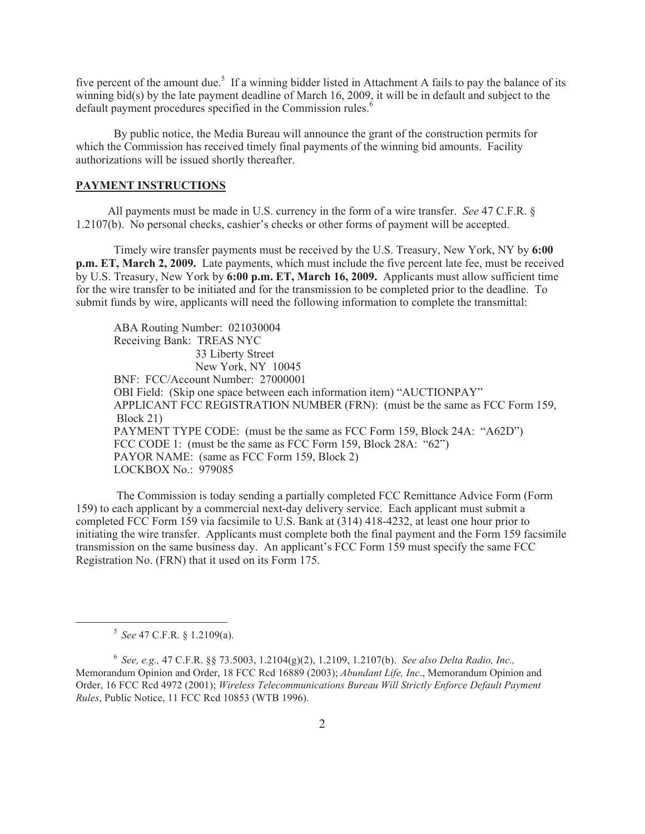five percent of the amount due.<sup>5</sup> If a winning bidder listed in Attachment A fails to pay the balance of its winning bid(s) by the late payment deadline of March 16, 2009, it will be in default and subject to the default payment procedures specified in the Commission rules.<sup>6</sup>

By public notice, the Media Bureau will announce the grant of the construction permits for which the Commission has received timely final payments of the winning bid amounts. Facility authorizations will be issued shortly thereafter.

#### **PAYMENT INSTRUCTIONS**

All payments must be made in U.S. currency in the form of a wire transfer. *See* 47 C.F.R. § 1.2107(b). No personal checks, cashier's checks or other forms of payment will be accepted.

Timely wire transfer payments must be received by the U.S. Treasury, New York, NY by **6:00 p.m. ET, March 2, 2009.** Late payments, which must include the five percent late fee, must be received by U.S. Treasury, New York by **6:00 p.m. ET, March 16, 2009.** Applicants must allow sufficient time for the wire transfer to be initiated and for the transmission to be completed prior to the deadline. To submit funds by wire, applicants will need the following information to complete the transmittal:

ABA Routing Number: 021030004 Receiving Bank: TREAS NYC 33 Liberty Street New York, NY 10045 BNF: FCC/Account Number: 27000001 OBI Field: (Skip one space between each information item) "AUCTIONPAY" APPLICANT FCC REGISTRATION NUMBER (FRN): (must be the same as FCC Form 159, Block 21) PAYMENT TYPE CODE: (must be the same as FCC Form 159, Block 24A: "A62D") FCC CODE 1: (must be the same as FCC Form 159, Block 28A: "62") PAYOR NAME: (same as FCC Form 159, Block 2) LOCKBOX No.: 979085

The Commission is today sending a partially completed FCC Remittance Advice Form (Form 159) to each applicant by a commercial next-day delivery service. Each applicant must submit a completed FCC Form 159 via facsimile to U.S. Bank at (314) 418-4232, at least one hour prior to initiating the wire transfer. Applicants must complete both the final payment and the Form 159 facsimile transmission on the same business day. An applicant's FCC Form 159 must specify the same FCC Registration No. (FRN) that it used on its Form 175.

<sup>5</sup> *See* 47 C.F.R. § 1.2109(a).

<sup>6</sup> *See, e.g.,* 47 C.F.R. §§ 73.5003, 1.2104(g)(2), 1.2109, 1.2107(b). *See also Delta Radio, Inc.,*  Memorandum Opinion and Order, 18 FCC Rcd 16889 (2003); *Abundant Life, Inc*., Memorandum Opinion and Order, 16 FCC Rcd 4972 (2001); *Wireless Telecommunications Bureau Will Strictly Enforce Default Payment Rules*, Public Notice, 11 FCC Rcd 10853 (WTB 1996).